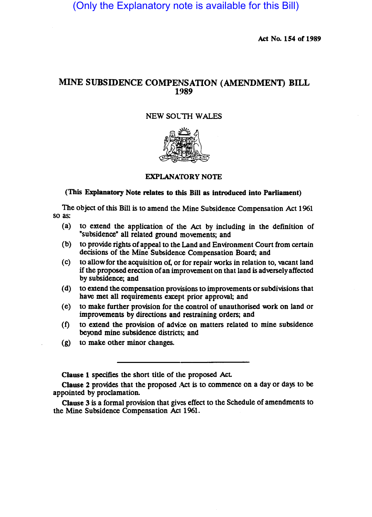(Only the Explanatory note is available for this Bill)

Act No. 154 of 1989

# MINE SUBSIDENCE COMPENSATION (AMENDMENT) **BILL**  1989

## NEW SOLTH WALES



## EXPLANATORY NOTE

## (This Explanatory Note relates to this Bill as introduced into Parliament)

The object of this Bill is to amend the Mine Subsidence Compensation Act 1961 so as:

- (a) to extend the application of the Act by including in the definition of "subsidence" all related ground movements; and
- (b) to provide rights of appeal to the Land and Environment Court from certain decisions of the Mine Subsidence Compensation Board; and
- $(c)$  to allow for the acquisition of, or for repair works in relation to, vacant land if the proposed erection of an improvement on that land is adversely affected by subsidence; and
- (d) to extend the compensation provisions to improvements or subdivisions that have met all requirements except prior approval; and
- (e) to make further provision for the control of unauthorised \Wrk on land or improvements by directions and restraining orders; and
- $(f)$  to extend the provision of advice on matters related to mine subsidence beyond mine subsidence districts; and
- (g) to make other minor changes.

Clause 1 specifies the short title of the proposed Act

Clause 2 provides that the proposed Act is to commence on a day or days to be appointed by proclamation.

Clause 3 is a formal provision that gives effect to the Schedule of amendments to the Mine Subsidence Compensation Act 1961.